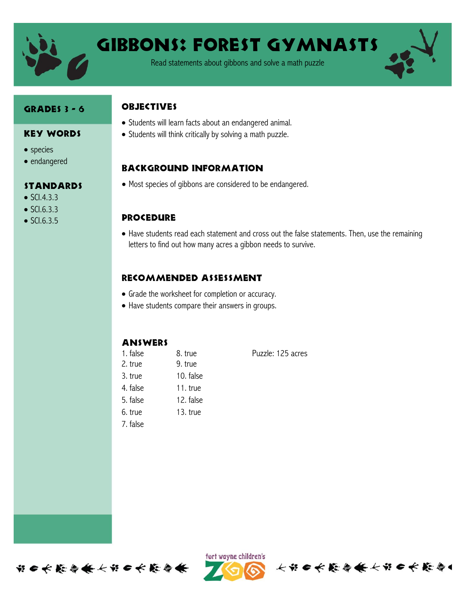

# GIBBONS: FOREST GYMNASTS

Read statements about gibbons and solve a math puzzle

#### Grades 3 - 6

Key Words

Standards

• species • endangered

 $\bullet$  SCI.4.3.3  $\bullet$  SCI.6.3.3  $\bullet$  SCI.6.3.5

# **ORJECTIVES**

- Students will learn facts about an endangered animal.
- Students will think critically by solving a math puzzle.

## Background information

Most species of gibbons are considered to be endangered.

## **PROCEDURE**

 Have students read each statement and cross out the false statements. Then, use the remaining letters to find out how many acres a gibbon needs to survive.

# Recommended assessment

- Grade the worksheet for completion or accuracy.
- Have students compare their answers in groups.

## **ANSWERS**

1. false 8. true Puzzle: 125 acres 2. true 9. true 3. true 10. false 4. false 11. true 5. false 12. false 6. true 13. true 7. false

长节6长能每条长节6长能每